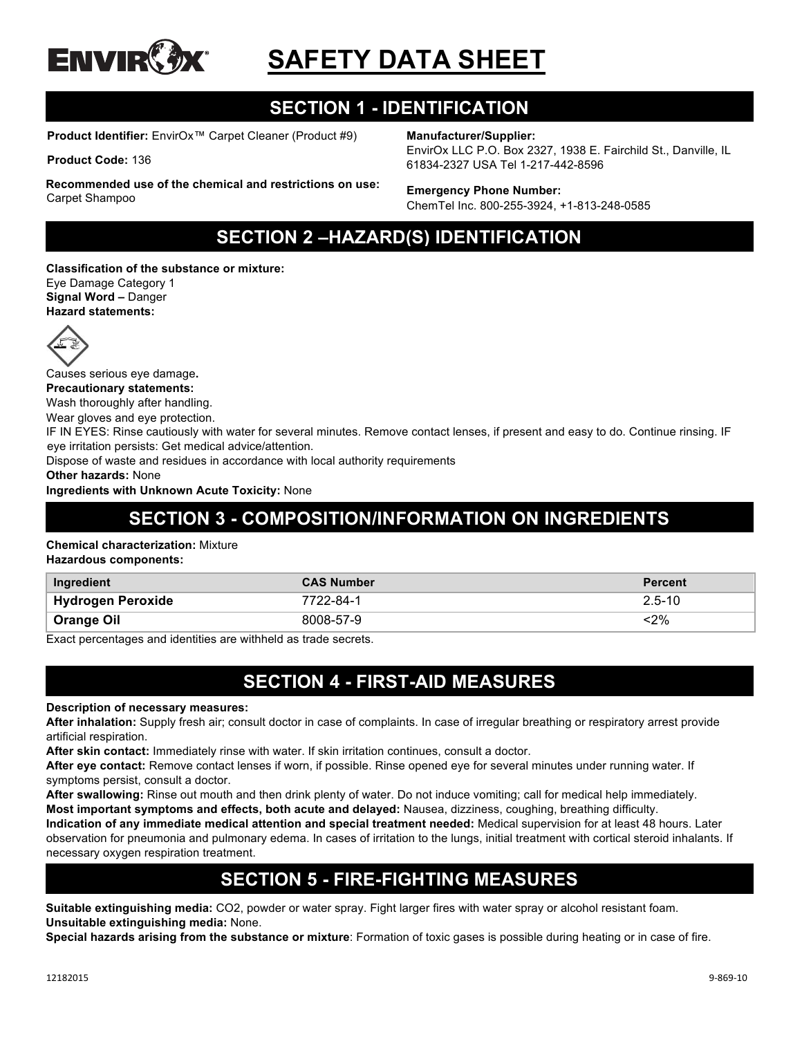

# **SAFETY DATA SHEET**

# **SECTION 1 - IDENTIFICATION**

**Product Identifier:** EnvirOx™ Carpet Cleaner (Product #9)

**Product Code:** 136

#### **Manufacturer/Supplier:**

EnvirOx LLC P.O. Box 2327, 1938 E. Fairchild St., Danville, IL 61834-2327 USA Tel 1-217-442-8596

#### **Recommended use of the chemical and restrictions on use:**  Carpet Shampoo

**Emergency Phone Number:** ChemTel Inc. 800-255-3924, +1-813-248-0585

## **SECTION 2 –HAZARD(S) IDENTIFICATION**

**Classification of the substance or mixture:** Eye Damage Category 1 **Signal Word –** Danger **Hazard statements:**



Causes serious eye damage**. Precautionary statements:** Wash thoroughly after handling.

Wear gloves and eye protection.

IF IN EYES: Rinse cautiously with water for several minutes. Remove contact lenses, if present and easy to do. Continue rinsing. IF eye irritation persists: Get medical advice/attention.

Dispose of waste and residues in accordance with local authority requirements

**Other hazards:** None

**Ingredients with Unknown Acute Toxicity:** None

# **SECTION 3 - COMPOSITION/INFORMATION ON INGREDIENTS**

#### **Chemical characterization:** Mixture

**Hazardous components:**

| Ingredient        | <b>CAS Number</b> | <b>Percent</b> |
|-------------------|-------------------|----------------|
| Hydrogen Peroxide | 7722-84-1         | $2.5 - 10$     |
| <b>Orange Oil</b> | 8008-57-9         | :2%            |

Exact percentages and identities are withheld as trade secrets.

### **SECTION 4 - FIRST-AID MEASURES**

**Description of necessary measures:**

**After inhalation:** Supply fresh air; consult doctor in case of complaints. In case of irregular breathing or respiratory arrest provide artificial respiration.

**After skin contact:** Immediately rinse with water. If skin irritation continues, consult a doctor.

**After eye contact:** Remove contact lenses if worn, if possible. Rinse opened eye for several minutes under running water. If symptoms persist, consult a doctor.

**After swallowing:** Rinse out mouth and then drink plenty of water. Do not induce vomiting; call for medical help immediately. **Most important symptoms and effects, both acute and delayed:** Nausea, dizziness, coughing, breathing difficulty.

**Indication of any immediate medical attention and special treatment needed:** Medical supervision for at least 48 hours. Later observation for pneumonia and pulmonary edema. In cases of irritation to the lungs, initial treatment with cortical steroid inhalants. If necessary oxygen respiration treatment.

### **SECTION 5 - FIRE-FIGHTING MEASURES**

**Suitable extinguishing media:** CO2, powder or water spray. Fight larger fires with water spray or alcohol resistant foam. **Unsuitable extinguishing media:** None.

**Special hazards arising from the substance or mixture**: Formation of toxic gases is possible during heating or in case of fire.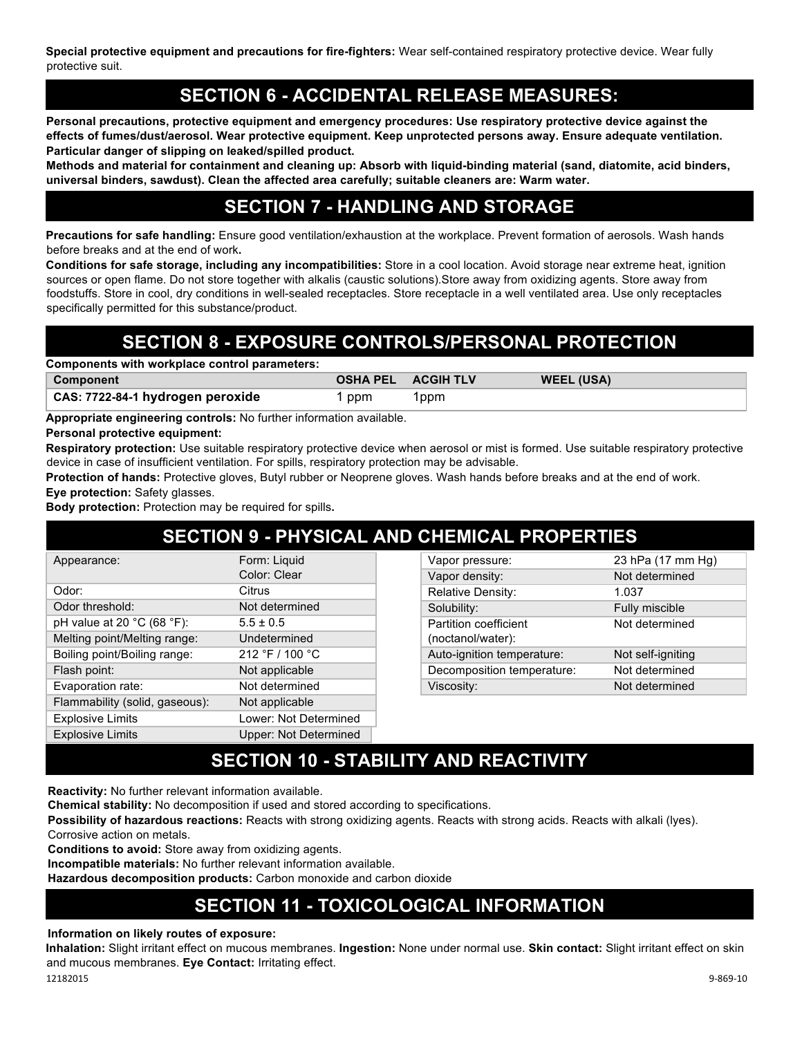**Special protective equipment and precautions for fire-fighters:** Wear self-contained respiratory protective device. Wear fully protective suit.

### **SECTION 6 - ACCIDENTAL RELEASE MEASURES:**

**Personal precautions, protective equipment and emergency procedures: Use respiratory protective device against the effects of fumes/dust/aerosol. Wear protective equipment. Keep unprotected persons away. Ensure adequate ventilation. Particular danger of slipping on leaked/spilled product.**

**Methods and material for containment and cleaning up: Absorb with liquid-binding material (sand, diatomite, acid binders, universal binders, sawdust). Clean the affected area carefully; suitable cleaners are: Warm water.**

### **SECTION 7 - HANDLING AND STORAGE**

**Precautions for safe handling:** Ensure good ventilation/exhaustion at the workplace. Prevent formation of aerosols. Wash hands before breaks and at the end of work**.**

**Conditions for safe storage, including any incompatibilities:** Store in a cool location. Avoid storage near extreme heat, ignition sources or open flame. Do not store together with alkalis (caustic solutions).Store away from oxidizing agents. Store away from foodstuffs. Store in cool, dry conditions in well-sealed receptacles. Store receptacle in a well ventilated area. Use only receptacles specifically permitted for this substance/product.

### **SECTION 8 - EXPOSURE CONTROLS/PERSONAL PROTECTION**

**Components with workplace control parameters:**

| <b>Component</b>                 |     | <b>OSHA PEL ACGIH TLV</b> | <b>WEEL (USA)</b> |
|----------------------------------|-----|---------------------------|-------------------|
| CAS: 7722-84-1 hydrogen peroxide | ppm | 1ppm.                     |                   |

**Appropriate engineering controls:** No further information available.

#### **Personal protective equipment:**

**Respiratory protection:** Use suitable respiratory protective device when aerosol or mist is formed. Use suitable respiratory protective device in case of insufficient ventilation. For spills, respiratory protection may be advisable.

**Protection of hands:** Protective gloves, Butyl rubber or Neoprene gloves. Wash hands before breaks and at the end of work.

**Eye protection:** Safety glasses.

**Body protection:** Protection may be required for spills**.**

### **SECTION 9 - PHYSICAL AND CHEMICAL PROPERTIES**

| Appearance:                                    | Form: Liquid                 |
|------------------------------------------------|------------------------------|
|                                                | Color: Clear                 |
| Odor:                                          | Citrus                       |
| Odor threshold:                                | Not determined               |
| pH value at 20 $^{\circ}$ C (68 $^{\circ}$ F): | $5.5 + 0.5$                  |
| Melting point/Melting range:                   | Undetermined                 |
| Boiling point/Boiling range:                   | 212 °F / 100 °C              |
| Flash point:                                   | Not applicable               |
| Evaporation rate:                              | Not determined               |
| Flammability (solid, gaseous):                 | Not applicable               |
| <b>Explosive Limits</b>                        | Lower: Not Determined        |
| <b>Explosive Limits</b>                        | <b>Upper: Not Determined</b> |

| Vapor pressure:            | 23 hPa (17 mm Hg) |
|----------------------------|-------------------|
| Vapor density:             | Not determined    |
| <b>Relative Density:</b>   | 1.037             |
| Solubility:                | Fully miscible    |
| Partition coefficient      | Not determined    |
| (noctanol/water):          |                   |
| Auto-ignition temperature: | Not self-igniting |
| Decomposition temperature: | Not determined    |
| Viscosity:                 | Not determined    |

# **SECTION 10 - STABILITY AND REACTIVITY**

**Reactivity:** No further relevant information available.

**Chemical stability:** No decomposition if used and stored according to specifications.

**Possibility of hazardous reactions:** Reacts with strong oxidizing agents. Reacts with strong acids. Reacts with alkali (lyes).

Corrosive action on metals.

**Conditions to avoid:** Store away from oxidizing agents.

**Incompatible materials:** No further relevant information available.

**Hazardous decomposition products:** Carbon monoxide and carbon dioxide

### **SECTION 11 - TOXICOLOGICAL INFORMATION**

#### **Information on likely routes of exposure:**

**Inhalation:** Slight irritant effect on mucous membranes. **Ingestion:** None under normal use. **Skin contact:** Slight irritant effect on skin and mucous membranes. **Eye Contact:** Irritating effect.